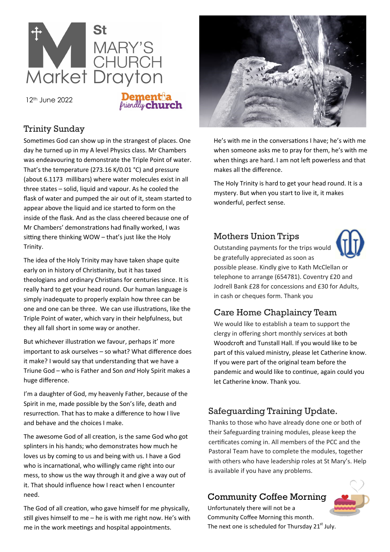

12th June 2022

# **Dementia**<br>*<i>Puendly* **church**

## Trinity Sunday

Sometimes God can show up in the strangest of places. One day he turned up in my A level Physics class. Mr Chambers was endeavouring to demonstrate the Triple Point of water. That's the temperature (273.16 K/0.01 [°C\)](http://en.wikipedia.org/wiki/%C2%B0C) and pressure (about 6.1173 [millibars\)](http://en.wikipedia.org/wiki/Bar_(unit)) where water molecules exist in all three states – solid, liquid and vapour. As he cooled the flask of water and pumped the air out of it, steam started to appear above the liquid and ice started to form on the inside of the flask. And as the class cheered because one of Mr Chambers' demonstrations had finally worked, I was sitting there thinking WOW – that's just like the Holy Trinity.

The idea of the Holy Trinity may have taken shape quite early on in history of Christianity, but it has taxed theologians and ordinary Christians for centuries since. It is really hard to get your head round. Our human language is simply inadequate to properly explain how three can be one and one can be three. We can use illustrations, like the Triple Point of water, which vary in their helpfulness, but they all fall short in some way or another.

But whichever illustration we favour, perhaps it' more important to ask ourselves – so what? What difference does it make? I would say that understanding that we have a Triune God – who is Father and Son *and* Holy Spirit makes a huge difference.

I'm a daughter of God, my heavenly Father, because of the Spirit in me, made possible by the Son's life, death and resurrection. That has to make a difference to how I live and behave and the choices I make.

The awesome God of all creation, is the same God who got splinters in his hands; who demonstrates how much he loves us by coming to us and being with us. I have a God who is incarnational, who willingly came right into our mess, to show us the way through it and give a way out of it. That should influence how I react when I encounter need.

The God of all creation, who gave himself for me physically, still gives himself to me – he is with me right now. He's with me in the work meetings and hospital appointments.



He's with me in the conversations I have; he's with me when someone asks me to pray for them, he's with me when things are hard. I am not left powerless and that makes all the difference.

The Holy Trinity is hard to get your head round. It is a mystery. But when you start to live it, it makes wonderful, perfect sense.

# Mothers Union Trips



Outstanding payments for the trips would be gratefully appreciated as soon as possible please. Kindly give to Kath McClellan or telephone to arrange (654781). Coventry £20 and Jodrell Bank £28 for concessions and £30 for Adults, in cash or cheques form. Thank you

# Care Home Chaplaincy Team

We would like to establish a team to support the clergy in offering short monthly services at both Woodcroft and Tunstall Hall. If you would like to be part of this valued ministry, please let Catherine know. If you were part of the original team before the pandemic and would like to continue, again could you let Catherine know. Thank you.

# Safeguarding Training Update.

Thanks to those who have already done one or both of their Safeguarding training modules, please keep the certificates coming in. All members of the PCC and the Pastoral Team have to complete the modules, together with others who have leadership roles at St Mary's. Help is available if you have any problems.

# Community Coffee Morning